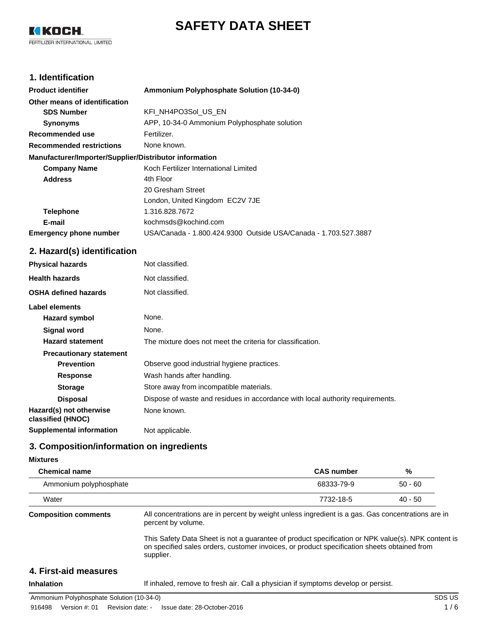

KI KOCH. FERTILIZER INTERNATIONAL LIMITED

## **1. Identification**

| <b>Product identifier</b>                              | Ammonium Polyphosphate Solution (10-34-0)                       |
|--------------------------------------------------------|-----------------------------------------------------------------|
| Other means of identification                          |                                                                 |
| <b>SDS Number</b>                                      | KFI NH4PO3Sol US EN                                             |
| <b>Synonyms</b>                                        | APP, 10-34-0 Ammonium Polyphosphate solution                    |
| Recommended use                                        | Fertilizer.                                                     |
| <b>Recommended restrictions</b>                        | None known.                                                     |
| Manufacturer/Importer/Supplier/Distributor information |                                                                 |
| <b>Company Name</b>                                    | Koch Fertilizer International Limited                           |
| <b>Address</b>                                         | 4th Floor                                                       |
|                                                        | 20 Gresham Street                                               |
|                                                        | London, United Kingdom EC2V 7JE                                 |
| <b>Telephone</b>                                       | 1.316.828.7672                                                  |
| E-mail                                                 | kochmsds@kochind.com                                            |
| <b>Emergency phone number</b>                          | USA/Canada - 1.800.424.9300 Outside USA/Canada - 1.703.527.3887 |

## **2. Hazard(s) identification**

| <b>Physical hazards</b>                      | Not classified.                                                                |  |  |
|----------------------------------------------|--------------------------------------------------------------------------------|--|--|
| <b>Health hazards</b>                        | Not classified.                                                                |  |  |
| <b>OSHA defined hazards</b>                  | Not classified.                                                                |  |  |
| Label elements                               |                                                                                |  |  |
| Hazard symbol                                | None.                                                                          |  |  |
| Signal word                                  | None.                                                                          |  |  |
| <b>Hazard statement</b>                      | The mixture does not meet the criteria for classification.                     |  |  |
| <b>Precautionary statement</b>               |                                                                                |  |  |
| <b>Prevention</b>                            | Observe good industrial hygiene practices.                                     |  |  |
| <b>Response</b>                              | Wash hands after handling.                                                     |  |  |
| <b>Storage</b>                               | Store away from incompatible materials.                                        |  |  |
| <b>Disposal</b>                              | Dispose of waste and residues in accordance with local authority requirements. |  |  |
| Hazard(s) not otherwise<br>classified (HNOC) | None known.                                                                    |  |  |
| <b>Supplemental information</b>              | Not applicable.                                                                |  |  |

## **3. Composition/information on ingredients**

### **Mixtures**

| <b>Chemical name</b>        |                                                                                                                                                                                                                | <b>CAS number</b> | %         |
|-----------------------------|----------------------------------------------------------------------------------------------------------------------------------------------------------------------------------------------------------------|-------------------|-----------|
| Ammonium polyphosphate      |                                                                                                                                                                                                                | 68333-79-9        | $50 - 60$ |
| Water                       |                                                                                                                                                                                                                | 7732-18-5         | $40 - 50$ |
| <b>Composition comments</b> | All concentrations are in percent by weight unless ingredient is a gas. Gas concentrations are in<br>percent by volume.                                                                                        |                   |           |
|                             | This Safety Data Sheet is not a guarantee of product specification or NPK value(s). NPK content is<br>on specified sales orders, customer invoices, or product specification sheets obtained from<br>supplier. |                   |           |
| 4. First-aid measures       |                                                                                                                                                                                                                |                   |           |

Inhalation **If inhaled, remove to fresh air. Call a physician if symptoms develop or persist.**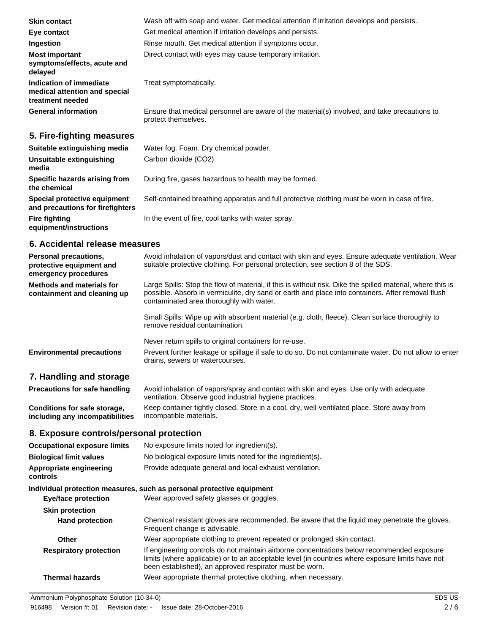| <b>Skin contact</b>                                                          | Wash off with soap and water. Get medical attention if irritation develops and persists.                            |
|------------------------------------------------------------------------------|---------------------------------------------------------------------------------------------------------------------|
| Eye contact                                                                  | Get medical attention if irritation develops and persists.                                                          |
| Ingestion                                                                    | Rinse mouth. Get medical attention if symptoms occur.                                                               |
| <b>Most important</b><br>symptoms/effects, acute and<br>delayed              | Direct contact with eyes may cause temporary irritation.                                                            |
| Indication of immediate<br>medical attention and special<br>treatment needed | Treat symptomatically.                                                                                              |
| <b>General information</b>                                                   | Ensure that medical personnel are aware of the material(s) involved, and take precautions to<br>protect themselves. |
|                                                                              |                                                                                                                     |

## **5. Fire-fighting measures**

| Suitable extinguishing media                                     | Water fog. Foam. Dry chemical powder.                                                         |
|------------------------------------------------------------------|-----------------------------------------------------------------------------------------------|
| Unsuitable extinguishing<br>media                                | Carbon dioxide (CO2).                                                                         |
| Specific hazards arising from<br>the chemical                    | During fire, gases hazardous to health may be formed.                                         |
| Special protective equipment<br>and precautions for firefighters | Self-contained breathing apparatus and full protective clothing must be worn in case of fire. |
| <b>Fire fighting</b><br>equipment/instructions                   | In the event of fire, cool tanks with water spray.                                            |
|                                                                  |                                                                                               |

## **6. Accidental release measures**

| <b>Personal precautions,</b><br>protective equipment and<br>emergency procedures | Avoid inhalation of vapors/dust and contact with skin and eyes. Ensure adequate ventilation. Wear<br>suitable protective clothing. For personal protection, see section 8 of the SDS.                                                                       |
|----------------------------------------------------------------------------------|-------------------------------------------------------------------------------------------------------------------------------------------------------------------------------------------------------------------------------------------------------------|
| Methods and materials for<br>containment and cleaning up                         | Large Spills: Stop the flow of material, if this is without risk. Dike the spilled material, where this is<br>possible. Absorb in vermiculite, dry sand or earth and place into containers. After removal flush<br>contaminated area thoroughly with water. |
|                                                                                  | Small Spills: Wipe up with absorbent material (e.g. cloth, fleece). Clean surface thoroughly to<br>remove residual contamination.                                                                                                                           |
|                                                                                  | Never return spills to original containers for re-use.                                                                                                                                                                                                      |
| <b>Environmental precautions</b>                                                 | Prevent further leakage or spillage if safe to do so. Do not contaminate water. Do not allow to enter<br>drains, sewers or watercourses.                                                                                                                    |

# **7. Handling and storage**

| <b>Precautions for safe handling</b> | Avoid inhalation of vapors/spray and contact with skin and eyes. Use only with adequate<br>ventilation. Observe good industrial hygiene practices. |  |  |
|--------------------------------------|----------------------------------------------------------------------------------------------------------------------------------------------------|--|--|
| <b>Conditions for safe storage,</b>  | Keep container tightly closed. Store in a cool, dry, well-ventilated place. Store away from                                                        |  |  |
| including any incompatibilities      | incompatible materials.                                                                                                                            |  |  |

# **8. Exposure controls/personal protection**

| <b>Occupational exposure limits</b> | No exposure limits noted for ingredient(s).                                                                                                                                                                                                               |  |  |
|-------------------------------------|-----------------------------------------------------------------------------------------------------------------------------------------------------------------------------------------------------------------------------------------------------------|--|--|
| <b>Biological limit values</b>      | No biological exposure limits noted for the ingredient(s).                                                                                                                                                                                                |  |  |
| Appropriate engineering<br>controls | Provide adequate general and local exhaust ventilation.                                                                                                                                                                                                   |  |  |
|                                     | Individual protection measures, such as personal protective equipment                                                                                                                                                                                     |  |  |
| <b>Eye/face protection</b>          | Wear approved safety glasses or goggles.                                                                                                                                                                                                                  |  |  |
| <b>Skin protection</b>              |                                                                                                                                                                                                                                                           |  |  |
| <b>Hand protection</b>              | Chemical resistant gloves are recommended. Be aware that the liquid may penetrate the gloves.<br>Frequent change is advisable.                                                                                                                            |  |  |
| Other                               | Wear appropriate clothing to prevent repeated or prolonged skin contact.                                                                                                                                                                                  |  |  |
| <b>Respiratory protection</b>       | If engineering controls do not maintain airborne concentrations below recommended exposure<br>limits (where applicable) or to an acceptable level (in countries where exposure limits have not<br>been established), an approved respirator must be worn. |  |  |
| <b>Thermal hazards</b>              | Wear appropriate thermal protective clothing, when necessary.                                                                                                                                                                                             |  |  |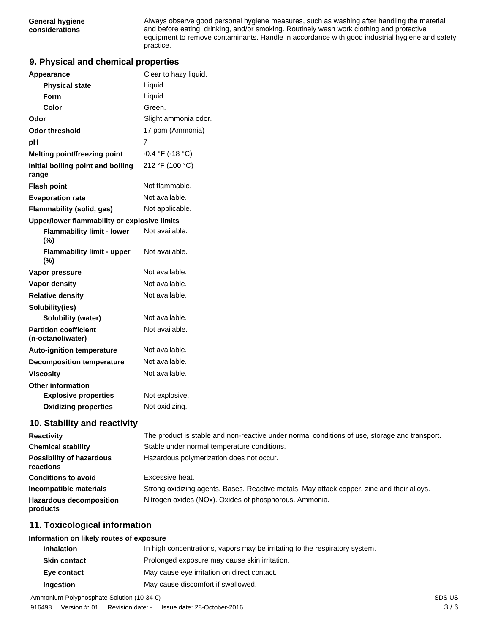Always observe good personal hygiene measures, such as washing after handling the material and before eating, drinking, and/or smoking. Routinely wash work clothing and protective equipment to remove contaminants. Handle in accordance with good industrial hygiene and safety practice.

## **9. Physical and chemical properties**

| Appearance                                                                                                             | Clear to hazy liquid. |  |
|------------------------------------------------------------------------------------------------------------------------|-----------------------|--|
| <b>Physical state</b>                                                                                                  | Liquid.               |  |
| Form                                                                                                                   | Liquid.               |  |
| Color                                                                                                                  | Green.                |  |
| Odor                                                                                                                   | Slight ammonia odor.  |  |
| <b>Odor threshold</b>                                                                                                  | 17 ppm (Ammonia)      |  |
| рH                                                                                                                     | 7                     |  |
| <b>Melting point/freezing point</b>                                                                                    | $-0.4$ °F (-18 °C)    |  |
| Initial boiling point and boiling<br>range                                                                             | 212 °F (100 °C)       |  |
| <b>Flash point</b>                                                                                                     | Not flammable.        |  |
| <b>Evaporation rate</b>                                                                                                | Not available.        |  |
| Flammability (solid, gas)                                                                                              | Not applicable.       |  |
| Upper/lower flammability or explosive limits                                                                           |                       |  |
| <b>Flammability limit - lower</b><br>$(\% )$                                                                           | Not available.        |  |
| <b>Flammability limit - upper</b><br>(%)                                                                               | Not available.        |  |
| Vapor pressure                                                                                                         | Not available.        |  |
| <b>Vapor density</b>                                                                                                   | Not available.        |  |
| <b>Relative density</b>                                                                                                | Not available.        |  |
| Solubility(ies)                                                                                                        |                       |  |
| <b>Solubility (water)</b>                                                                                              | Not available.        |  |
| <b>Partition coefficient</b><br>(n-octanol/water)                                                                      | Not available.        |  |
| <b>Auto-ignition temperature</b>                                                                                       | Not available.        |  |
| <b>Decomposition temperature</b>                                                                                       | Not available.        |  |
| <b>Viscosity</b>                                                                                                       | Not available.        |  |
| <b>Other information</b>                                                                                               |                       |  |
| <b>Explosive properties</b>                                                                                            | Not explosive.        |  |
| <b>Oxidizing properties</b>                                                                                            | Not oxidizing.        |  |
| <b>Container the contact of the contact of the contact of the contact of the contact of the contact of the contact</b> |                       |  |

#### **10. Stability and reactivity**

| <b>Reactivity</b>                            | The product is stable and non-reactive under normal conditions of use, storage and transport. |
|----------------------------------------------|-----------------------------------------------------------------------------------------------|
| <b>Chemical stability</b>                    | Stable under normal temperature conditions.                                                   |
| <b>Possibility of hazardous</b><br>reactions | Hazardous polymerization does not occur.                                                      |
| <b>Conditions to avoid</b>                   | Excessive heat.                                                                               |
| Incompatible materials                       | Strong oxidizing agents. Bases. Reactive metals. May attack copper, zinc and their alloys.    |
| <b>Hazardous decomposition</b><br>products   | Nitrogen oxides (NOx). Oxides of phosphorous. Ammonia.                                        |

## **11. Toxicological information**

#### **Information on likely routes of exposure**

| <b>Inhalation</b>   | In high concentrations, vapors may be irritating to the respiratory system. |
|---------------------|-----------------------------------------------------------------------------|
| <b>Skin contact</b> | Prolonged exposure may cause skin irritation.                               |
| Eye contact         | May cause eye irritation on direct contact.                                 |
| Ingestion           | May cause discomfort if swallowed.                                          |

Ammonium Polyphosphate Solution (10-34-0) SDS US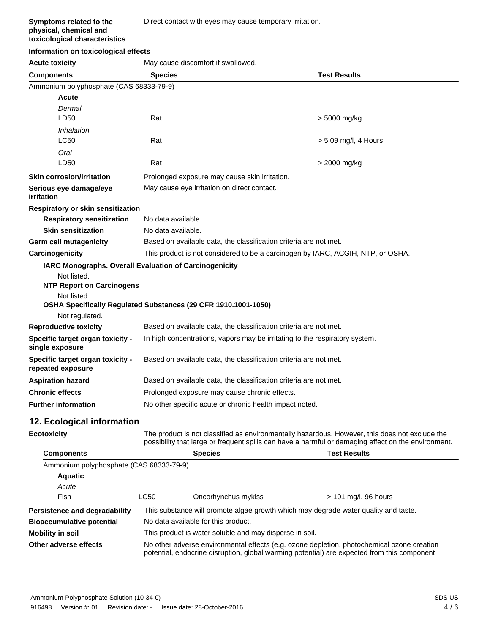#### **Symptoms related to the physical, chemical and toxicological characteristics**

#### **Information on toxicological effects**

**Acute toxicity** May cause discomfort if swallowed.

| <b>Components</b>                                              | <b>Species</b>                                                                                                                                                                                        |                                                                                 | <b>Test Results</b>    |  |
|----------------------------------------------------------------|-------------------------------------------------------------------------------------------------------------------------------------------------------------------------------------------------------|---------------------------------------------------------------------------------|------------------------|--|
| Ammonium polyphosphate (CAS 68333-79-9)                        |                                                                                                                                                                                                       |                                                                                 |                        |  |
| <b>Acute</b>                                                   |                                                                                                                                                                                                       |                                                                                 |                        |  |
| Dermal                                                         |                                                                                                                                                                                                       |                                                                                 |                        |  |
| LD <sub>50</sub>                                               | Rat                                                                                                                                                                                                   |                                                                                 | > 5000 mg/kg           |  |
| Inhalation                                                     |                                                                                                                                                                                                       |                                                                                 |                        |  |
| <b>LC50</b>                                                    | Rat                                                                                                                                                                                                   |                                                                                 | $> 5.09$ mg/l, 4 Hours |  |
| Oral                                                           |                                                                                                                                                                                                       |                                                                                 |                        |  |
| LD50                                                           | Rat                                                                                                                                                                                                   | > 2000 mg/kg                                                                    |                        |  |
| <b>Skin corrosion/irritation</b>                               | Prolonged exposure may cause skin irritation.                                                                                                                                                         |                                                                                 |                        |  |
| Serious eye damage/eye<br>irritation                           |                                                                                                                                                                                                       | May cause eye irritation on direct contact.                                     |                        |  |
| Respiratory or skin sensitization                              |                                                                                                                                                                                                       |                                                                                 |                        |  |
| <b>Respiratory sensitization</b>                               | No data available.                                                                                                                                                                                    |                                                                                 |                        |  |
| <b>Skin sensitization</b>                                      | No data available.                                                                                                                                                                                    |                                                                                 |                        |  |
| Germ cell mutagenicity                                         |                                                                                                                                                                                                       | Based on available data, the classification criteria are not met.               |                        |  |
| Carcinogenicity                                                |                                                                                                                                                                                                       | This product is not considered to be a carcinogen by IARC, ACGIH, NTP, or OSHA. |                        |  |
| <b>IARC Monographs. Overall Evaluation of Carcinogenicity</b>  |                                                                                                                                                                                                       |                                                                                 |                        |  |
| Not listed.<br><b>NTP Report on Carcinogens</b>                |                                                                                                                                                                                                       |                                                                                 |                        |  |
| Not listed.                                                    |                                                                                                                                                                                                       |                                                                                 |                        |  |
| OSHA Specifically Regulated Substances (29 CFR 1910.1001-1050) |                                                                                                                                                                                                       |                                                                                 |                        |  |
| Not regulated.                                                 |                                                                                                                                                                                                       |                                                                                 |                        |  |
| <b>Reproductive toxicity</b>                                   | Based on available data, the classification criteria are not met.                                                                                                                                     |                                                                                 |                        |  |
| Specific target organ toxicity -<br>single exposure            | In high concentrations, vapors may be irritating to the respiratory system.                                                                                                                           |                                                                                 |                        |  |
| Specific target organ toxicity -<br>repeated exposure          | Based on available data, the classification criteria are not met.                                                                                                                                     |                                                                                 |                        |  |
| <b>Aspiration hazard</b>                                       | Based on available data, the classification criteria are not met.                                                                                                                                     |                                                                                 |                        |  |
| <b>Chronic effects</b>                                         | Prolonged exposure may cause chronic effects.                                                                                                                                                         |                                                                                 |                        |  |
| <b>Further information</b>                                     | No other specific acute or chronic health impact noted.                                                                                                                                               |                                                                                 |                        |  |
| 12. Ecological information                                     |                                                                                                                                                                                                       |                                                                                 |                        |  |
| <b>Ecotoxicity</b>                                             | The product is not classified as environmentally hazardous. However, this does not exclude the<br>possibility that large or frequent spills can have a harmful or damaging effect on the environment. |                                                                                 |                        |  |
| <b>Components</b>                                              |                                                                                                                                                                                                       | <b>Species</b>                                                                  | <b>Test Results</b>    |  |
| Ammonium polyphosphate (CAS 68333-79-9)                        |                                                                                                                                                                                                       |                                                                                 |                        |  |
| <b>Aquatic</b>                                                 |                                                                                                                                                                                                       |                                                                                 |                        |  |
| Acute                                                          |                                                                                                                                                                                                       |                                                                                 |                        |  |
| Fish                                                           | LC50                                                                                                                                                                                                  | Oncorhynchus mykiss                                                             | > 101 mg/l, 96 hours   |  |
| Persistence and degradability                                  | This substance will promote algae growth which may degrade water quality and taste.                                                                                                                   |                                                                                 |                        |  |
| <b>Bioaccumulative potential</b>                               | No data available for this product.                                                                                                                                                                   |                                                                                 |                        |  |
| <b>Mobility in soil</b>                                        | This product is water soluble and may disperse in soil.                                                                                                                                               |                                                                                 |                        |  |
| Other adverse effects                                          | No other adverse environmental effects (e.g. ozone depletion, photochemical ozone creation<br>potential, endocrine disruption, global warming potential) are expected from this component.            |                                                                                 |                        |  |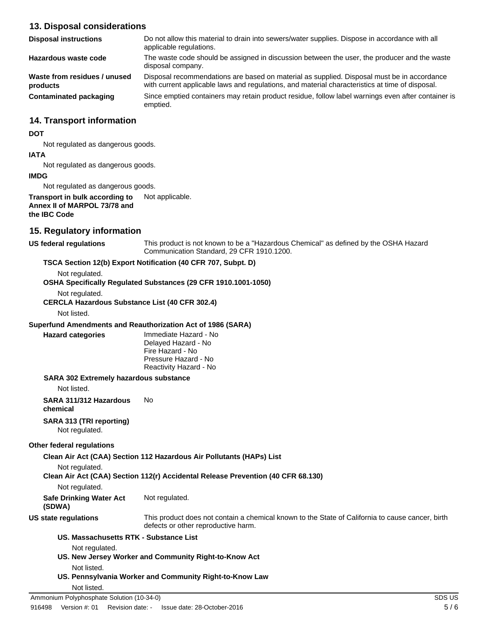## **13. Disposal considerations**

| <b>Disposal instructions</b>             | Do not allow this material to drain into sewers/water supplies. Dispose in accordance with all<br>applicable regulations.                                                                     |
|------------------------------------------|-----------------------------------------------------------------------------------------------------------------------------------------------------------------------------------------------|
| Hazardous waste code                     | The waste code should be assigned in discussion between the user, the producer and the waste<br>disposal company.                                                                             |
| Waste from residues / unused<br>products | Disposal recommendations are based on material as supplied. Disposal must be in accordance<br>with current applicable laws and regulations, and material characteristics at time of disposal. |
| <b>Contaminated packaging</b>            | Since emptied containers may retain product residue, follow label warnings even after container is<br>emptied.                                                                                |

#### **14. Transport information**

#### **DOT**

Not regulated as dangerous goods.

# **IATA**

Not regulated as dangerous goods.

#### **IMDG**

Not regulated as dangerous goods.

**Transport in bulk according to** Not applicable. **Annex II of MARPOL 73/78 and the IBC Code**

## **15. Regulatory information**

#### **US federal regulations**

This product is not known to be a "Hazardous Chemical" as defined by the OSHA Hazard Communication Standard, 29 CFR 1910.1200.

#### **TSCA Section 12(b) Export Notification (40 CFR 707, Subpt. D)**

Not regulated.

**OSHA Specifically Regulated Substances (29 CFR 1910.1001-1050)**

Not regulated.

**CERCLA Hazardous Substance List (40 CFR 302.4)**

Not listed.

**Hazard categories**

#### **Superfund Amendments and Reauthorization Act of 1986 (SARA)**

Immediate Hazard - No Delayed Hazard - No Fire Hazard - No Pressure Hazard - No Reactivity Hazard - No

#### **SARA 302 Extremely hazardous substance**

Not listed.

**SARA 311/312 Hazardous** No

**chemical**

**SARA 313 (TRI reporting)** Not regulated.

#### **Other federal regulations**

**Clean Air Act (CAA) Section 112 Hazardous Air Pollutants (HAPs) List**

Not regulated.

**Clean Air Act (CAA) Section 112(r) Accidental Release Prevention (40 CFR 68.130)**

**Safe Drinking Water Act** Not regulated.

**(SDWA)**

**US state regulations**

This product does not contain a chemical known to the State of California to cause cancer, birth defects or other reproductive harm.

#### **US. Massachusetts RTK - Substance List**

Not regulated.

- **US. New Jersey Worker and Community Right-to-Know Act**
	- Not listed.
- **US. Pennsylvania Worker and Community Right-to-Know Law**

#### Not listed.